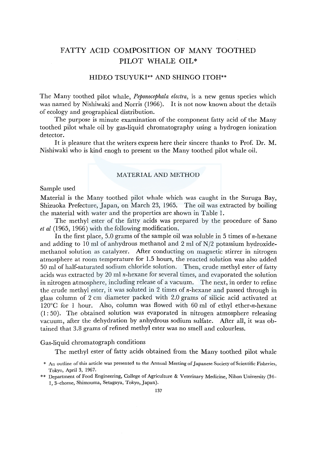# FATTY ACID COMPOSITION OF MANY TOOTHED PILOT WHALE OIL\*

## HIDEO TSUYUKI\*\* AND SHINGO ITOH\*\*

The Many toothed pilot whale, *Peponocephala electra,* is a new genus species which was named by Nishiwaki and Norris (1966). It is not now known about the details of ecology and geographical distribution.

The purpose is minute examination of the component fatty acid of the Many toothed pilot whale oil by gas-liquid chromatography using a hydrogen ionization detector.

It is pleasure that the writers express here their sincere thanks to Prof. Dr. M. Nishiwaki who is kind enogh to present us the Many toothed pilot whale oil.

## MATERIAL AND METHOD

## Sample used

Material is the Many toothed pilot whale which was caught in the Suruga Bay, Shizuoka Prefecture, Japan, on March 23, 1965. The oil was extracted by boiling the material with water and the properties are shown in Table 1.

The methyl ester of the fatty acids was prepared by the procedure of Sano *et al* (1965, 1966) with the following modification.

In the first place, 5.0 grams of the sample oil was soluble in 5 times of  $n$ -hexane and adding to 10 ml of anhydrous methanol and 2 ml of  $N/2$  potassium hydroxidemethanol solution as catalyzer. After conducting on magnetic stirrer in nitrogen atmosphere at room temperature for 1.5 hours, the reacted solution was also added 50 ml of half-saturated sodium chloride solution. Then, crude methyl ester of fatty acids was extracted by 20 ml n-hexane for several times, and evaporated the solution in nitrogen atmosphere, including release of a vacuum. The next, in order to refine the crude methyl ester, it was soluted in 2 times of n-hexane and passed through in glass column of 2 cm diameter packed with 2.0 grams of silicic acid activated at 120°C for 1 hour. Also, column was flowed with 60 ml of ethyl ether-n-hexane (1: 50). The obtained solution was evaporated in nitrogen atmosphere releasing vacuum, after the dehydration by anhydrous sodium sulfate. After all, it was obtained that 3.8 grams of refined methyl ester was no smell and colourless.

Gas-liquid chromatograph conditions

The methyl ester of fatty acids obtained from the Many toothed pilot whale

<sup>\*</sup> An outline of this article was presented to the Annual Meeting of Japanese Society of Scientific Fisheries, Tokyo, April 3, 1967.

<sup>\*\*</sup> Department of Food Engineering, College of Agriculture & Veterinary Medicine, Nihon University (34- 1, 3-chome, Shimouma, Setagaya, Tokyo, Japan).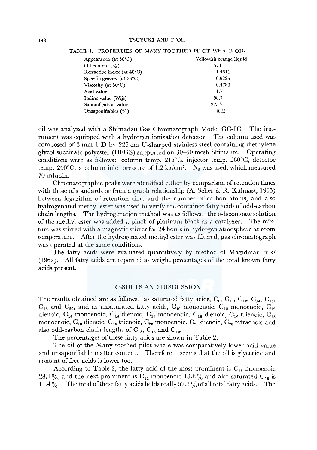| Appearance (at $30^{\circ}$ C)       | Yellowish orange liquid |
|--------------------------------------|-------------------------|
| Oil content $(\% )$                  | 57.0                    |
| Refractive index (at $40^{\circ}$ C) | 1.4611                  |
| Specific gravity (at $26^{\circ}$ C) | 0.9226                  |
| Viscosity (at $50^{\circ}$ C)        | 0.4780                  |
| Acid value                           | 1.7                     |
| Iodine value (Wijs)                  | 98.7                    |
| Saponification value                 | 225.7                   |
| Unsaponifiables $(\%)$               | 0.42                    |

#### TABLE 1. PROPERTIES OF MANY TOOTHED PILOT WHALE OIL

oil was analyzed with a Shimadzu Gas Chromatograph Model GC-IC. The instrument was equipped with a hydrogen ionization detector. The column used was composed of 3 mm I D by 225 cm U-sharped stainless steel containing diethylene glycol succinate polyester (DEGS) supported on 30-60 mesh Shimalite. Operating conditions were as follows; column temp. 215°C, injector temp. 260°C, detector temp. 240°C, a column inlet pressure of 1.2 kg/cm<sup>2</sup>. N<sub>2</sub> was used, which measured 70 ml/min.

Chromatographic peaks were identified either by comparison of retention times with those of standards or from a graph relationship  $(A, S<sub>ther</sub> & R, K<sub>uh</sub>$  km  $1965)$ between logarithm of retention time and the number of carbon atoms, and also hydrogenated methyl ester was used to verify the contained fatty acids of odd-carbon chain lengths. The hydrogenation method was as follows; the n-hexanoate solution of the methyl ester was added a pinch of platinum black as a catalyzer. The mixture was stirred with a magnetic stirrer for 24 hours in hydrogen atmosphere at room temperature. After the hydrogenated methyl ester was filtered, gas chromatograph was operated at the same conditions.

The fatty acids were evaluated quantitively by method of Magidman *et al*  (1962). All fatty acids are reported as weight percentages of the total known fatty acids present.

## RESULTS AND DISCUSSION

The results obtained are as follows; as saturated fatty acids,  $C_8$ ,  $C_{10}$ ,  $C_{12}$ ,  $C_{14}$ ,  $C_{16}$ ,  $C_{18}$  and  $C_{20}$ , and as unsaturated fatty acids,  $C_{10}$  monoenoic,  $C_{12}$  monoenoic,  $C_{12}$ dienoic,  $C_{14}$  monoenoic,  $C_{14}$  dienoic,  $C_{16}$  monoenoic,  $C_{16}$  dienoic,  $C_{16}$  trienoic,  $C_{18}$ monoenoic,  $C_{18}$  dienoic,  $C_{18}$  trienoic,  $C_{20}$  monoenoic,  $C_{20}$  dienoic,  $C_{20}$  tetraenoic and also odd-carbon chain lengths of  $C_{13}$ ,  $C_{15}$  and  $C_{19}$ .

The percentages of these fatty acids are shown in Table 2.

The oil of the Many toothed pilot whale was comparatively lower acid value and unsaponifiable matter content. Therefore it seems that the oil is glyceride and content of free acids is lower too.

According to Table 2, the fatty acid of the most prominent is  $C_{18}$  monoenoic 28.1%, and the next prominent is  $C_{14}$  monoenoic 13.8% and also saturated  $C_{16}$  is 11.4%. The total of these fatty acids holds really 52.3% of all total fatty acids. The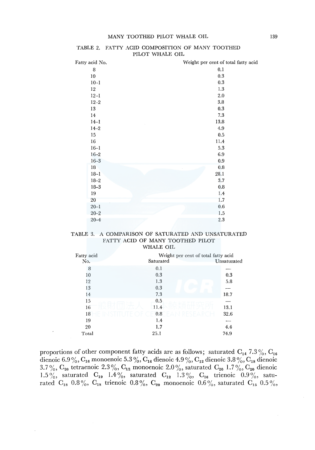| Fatty acid No. | Weight per cent of total fatty acid |
|----------------|-------------------------------------|
| 8              | 0.1                                 |
| $10\,$         | 0.3                                 |
| $10 - 1$       | 0.3                                 |
| 12             | 1.3                                 |
| $12 - 1$       | 2.0                                 |
| $12 - 2$       | 3.8                                 |
| 13             | 0.3                                 |
| 14             | 7.3                                 |
| $14 - 1$       | 13.8                                |
| $14 - 2$       | 4.9                                 |
| 15             | $0.5\,$                             |
| 16             | 11.4                                |
| $16 - 1$       | 5.3                                 |
| $16 - 2$       | 6.9                                 |
| $16 - 3$       | 0.9                                 |
| 18             | 0.8                                 |
| $18 - 1$       | 28.1                                |
| $18 - 2$       | 3.7                                 |
| $18 - 3$       | 0.8                                 |
| 19             | 1.4                                 |
| 20             | 1.7                                 |
| $20 - 1$       | $\rm 0.6$                           |
| $20 - 2$       | 1.5                                 |
| $20 - 4$       | 2.3                                 |

#### TABLE 2. FATTY ACID COMPOSITION OF MANY TOOTHED PILOT WHALE OIL

#### TABLE 3. A COMPARISON OF SATURATED AND UNSATURATED FATTY ACID OF MANY TOOTHED PILOT WHALE OIL

| Fatty acid | Weight per cent of total fatty acid |             |
|------------|-------------------------------------|-------------|
| No.        | Saturated                           | Unsaturated |
| 8          | 0.1                                 |             |
| 10         | 0.3                                 | 0.3         |
| 12         | 1.3<br><b>CO</b>                    | 5.8         |
| 13         | 0.3                                 |             |
| 14         | 7.3                                 | 18.7        |
| 15         | 0.5                                 |             |
| 16         | 11.4                                | 13.1        |
| 18         | 0.8                                 | 32.6        |
| 19         | 1.4                                 |             |
| 20         | 1.7                                 | 4.4         |
| Total      | 25.1                                | 74.9        |

proportions of other component fatty acids are as follows; saturated  $C_{14}$  7.3%,  $C_{16}$ dienoic 6.9  $\%,$   $\rm C_{16}$  monoenoic 5.3  $\%,$   $\rm C_{14}$  dienoic 4.9  $\%,$   $\rm C_{12}$  dienoic 3.8  $\%,$   $\rm C_{18}$  dienoic 3.7%,  $C_{20}$  tetraenoic 2.3%,  $C_{12}$  monoenoic 2.0%, saturated  $C_{20}$  1.7%,  $C_{20}$  dienoic 1.5%, saturated  $C_{19}$  1.4%, saturated  $C_{12}$  1.3%,  $C_{16}$  trienoic 0.9%, saturated  $C_{18}$  0.8%,  $C_{18}$  trienoic 0.8%,  $C_{20}$  monoenoic 0.6%, saturated  $C_{15}$  0.5%,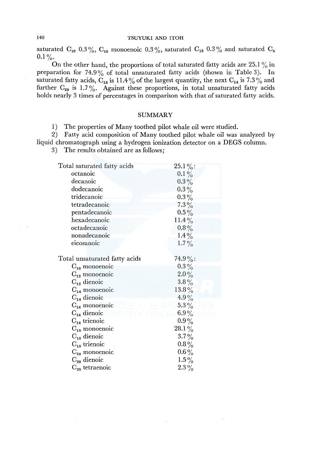## 140 TSUYUKI AND ITOH

saturated  $C_{10}$  0.3%,  $C_{10}$  monoenoic 0.3%, saturated  $C_{13}$  0.3% and saturated  $C_{8}$  $0.1\%$ .

On the other hand, the proportions of total saturated fatty acids are 25.1% in preparation for 74.9 % of total unsaturated fatty acids (shown in Table 3). In saturated fatty acids,  $C_{16}$  is 11.4% of the largest quantity, the next  $C_{14}$  is 7.3% and further  $C_{20}$  is 1.7%. Against these proportions, in total unsaturated fatty acids holds nearly 3 times of percentages in comparison with that of saturated fatty acids.

### SUMMARY

1) The properties of Many toothed pilot whale oil were studied.

2) Fatty acid composition of Many toothed pilot whale oil was analyzed by liquid chromatograph using a hydrogen ionization detector on a DEGS column.

3) The results obtained are as follows;

| Total saturated fatty acids   | $25.1\%$ : |
|-------------------------------|------------|
| octanoic                      | $0.1\%$    |
| decanoic                      | $0.3\,\%$  |
| dodecanoic                    | $0.3\%$    |
| tridecanoic                   | $0.3\%$    |
| tetradecanoic                 | $7.3\%$    |
| pentadecanoic                 | $0.5\%$    |
| hexadecanoic                  | $11.4\%$   |
| octadecanoic                  | $0.8\%$    |
| nonadecanoic                  | $1.4\%$    |
| eicosanoic                    | $1.7\%$    |
|                               |            |
| Total unsaturated fatty acids | $74.9\%$ : |
| $C_{10}$ monoenoic            | $0.3\%$    |
| $C_{12}$ monoenoic            | $2.0\%$    |
| $C_{12}$ dienoic              | $3.8\%$    |
| $C_{14}$ monoenoic            | $13.8\%$   |
| $C_{14}$ dienoic              | 4.9%       |
| $C_{16}$ monoenoic            | 5.3 $\%$   |
| $\mathrm{C}_{16}$ dienoic     | 6.9%       |
| $C_{16}$ trienoic             | $0.9\%$    |
| $C_{18}$ monoenoic            | $28.1\,\%$ |
| $C_{18}$ dienoic              | $3.7\%$    |
| $C_{18}$ trienoic             | $0.8\%$    |
| $C_{20}$ monoenoic            | $0.6\%$    |
| $C_{20}$ dienoic              | $1.5\%$    |
| $C_{20}$ tetraenoic           | $2.3\%$    |
|                               |            |